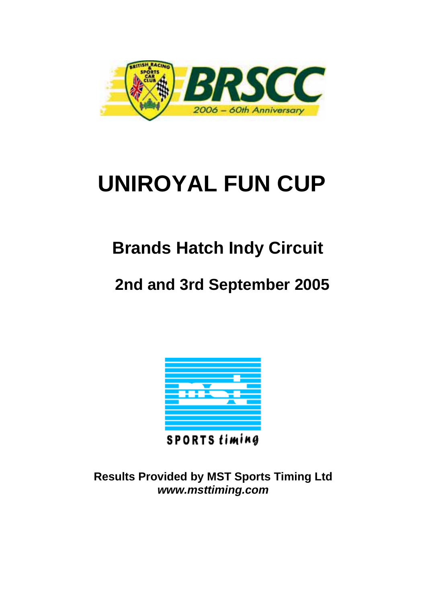

# **UNIROYAL FUN CUP**

## **Brands Hatch Indy Circuit**

### **2nd and 3rd September 2005**



**SPORTS timing** 

**Results Provided by MST Sports Timing Ltd**  *www.msttiming.com*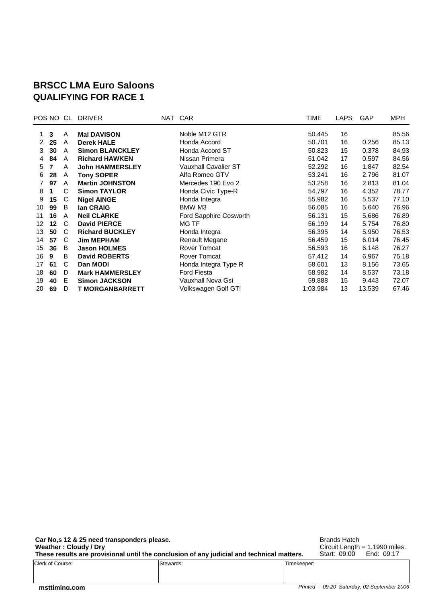#### **BRSCC LMA Euro Saloons QUALIFYING FOR RACE 1**

|    | POS NO CL |   | <b>DRIVER</b>          | NAT CAR                     | TIME     | LAPS | GAP    | MPH   |
|----|-----------|---|------------------------|-----------------------------|----------|------|--------|-------|
|    | 3         | A | <b>Mal DAVISON</b>     | Noble M12 GTR               | 50.445   | 16   |        | 85.56 |
| 2  | 25        | A | <b>Derek HALE</b>      | Honda Accord                | 50.701   | 16   | 0.256  | 85.13 |
| 3  | 30        | A | <b>Simon BLANCKLEY</b> | Honda Accord ST             | 50.823   | 15   | 0.378  | 84.93 |
| 4  | 84        | A | <b>Richard HAWKEN</b>  | Nissan Primera              | 51.042   | 17   | 0.597  | 84.56 |
| 5  |           | A | <b>John HAMMERSLEY</b> | <b>Vauxhall Cavalier ST</b> | 52.292   | 16   | 1.847  | 82.54 |
| 6  | 28        | A | <b>Tony SOPER</b>      | Alfa Romeo GTV              | 53.241   | 16   | 2.796  | 81.07 |
|    | 97        | A | <b>Martin JOHNSTON</b> | Mercedes 190 Evo 2          | 53.258   | 16   | 2.813  | 81.04 |
| 8  |           | C | <b>Simon TAYLOR</b>    | Honda Civic Type-R          | 54.797   | 16   | 4.352  | 78.77 |
| 9  | 15        | C | <b>Nigel AINGE</b>     | Honda Integra               | 55.982   | 16   | 5.537  | 77.10 |
| 10 | 99        | B | lan CRAIG              | BMW M3                      | 56.085   | 16   | 5.640  | 76.96 |
| 11 | 16        | A | <b>Neil CLARKE</b>     | Ford Sapphire Cosworth      | 56.131   | 15   | 5.686  | 76.89 |
| 12 | $12 \,$   | C | <b>David PIERCE</b>    | <b>MG TF</b>                | 56.199   | 14   | 5.754  | 76.80 |
| 13 | 50        | C | <b>Richard BUCKLEY</b> | Honda Integra               | 56.395   | 14   | 5.950  | 76.53 |
| 14 | 57        | C | <b>Jim MEPHAM</b>      | Renault Megane              | 56.459   | 15   | 6.014  | 76.45 |
| 15 | 36        | B | <b>Jason HOLMES</b>    | Rover Tomcat                | 56.593   | 16   | 6.148  | 76.27 |
| 16 | 9         | B | <b>David ROBERTS</b>   | Rover Tomcat                | 57.412   | 14   | 6.967  | 75.18 |
| 17 | 61        | C | Dan MODI               | Honda Integra Type R        | 58.601   | 13   | 8.156  | 73.65 |
| 18 | 60        | D | <b>Mark HAMMERSLEY</b> | <b>Ford Fiesta</b>          | 58.982   | 14   | 8.537  | 73.18 |
| 19 | 40        | Е | <b>Simon JACKSON</b>   | Vauxhall Nova Gsi           | 59.888   | 15   | 9.443  | 72.07 |
| 20 | 69        | D | <b>T MORGANBARRETT</b> | Volkswagen Golf GTi         | 1:03.984 | 13   | 13.539 | 67.46 |
|    |           |   |                        |                             |          |      |        |       |

**Car No,s 12 & 25 need transponders please. Weather : Cloudy / Dry These results are provisional until the conclusion of any judicial and technical matters.** Clerk of Course: Stewards: Timekeeper:

Brands Hatch Circuit Length = 1.1990 miles. Start: 09:00 End: 09:17

*Printed - 09:20 Saturday, 02 September 2006*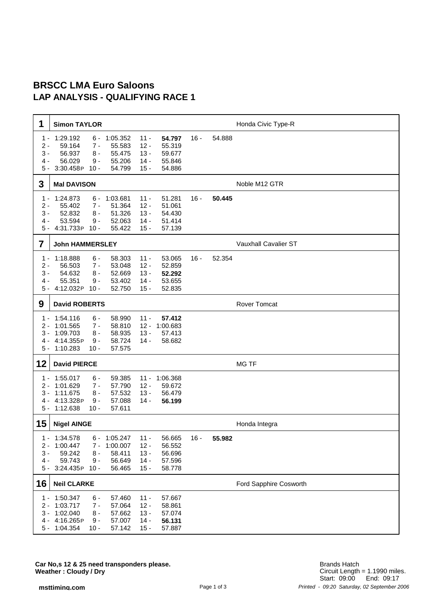#### **BRSCC LMA Euro Saloons LAP ANALYSIS - QUALIFYING RACE 1**

| 1                                       | <b>Simon TAYLOR</b>                                                                                           |                                                    |                                                |                                                |        |        | Honda Civic Type-R          |
|-----------------------------------------|---------------------------------------------------------------------------------------------------------------|----------------------------------------------------|------------------------------------------------|------------------------------------------------|--------|--------|-----------------------------|
| 1 -<br>$2 -$<br>$3 -$<br>$4 -$<br>$5 -$ | 1:29.192<br>6 -<br>59.164<br>$7 -$<br>56.937<br>$8 -$<br>56.029<br>$9 -$<br>3:30.458P<br>$10 -$               | 1:05.352<br>55.583<br>55.475<br>55.206<br>54.799   | $11 -$<br>$12 -$<br>$13 -$<br>$14 -$<br>$15 -$ | 54.797<br>55.319<br>59.677<br>55.846<br>54.886 | $16 -$ | 54.888 |                             |
| 3                                       | <b>Mal DAVISON</b>                                                                                            |                                                    |                                                |                                                |        |        | Noble M12 GTR               |
| 1 -<br>$2 -$<br>$3 -$<br>4 -<br>5 -     | 1:24.873<br>6 -<br>55.402<br>7 -<br>52.832<br>$8 -$<br>53.594<br>$9 -$<br>4:31.733P<br>$10 -$                 | 1:03.681<br>51.364<br>51.326<br>52.063<br>55.422   | $11 -$<br>$12 -$<br>$13 -$<br>$14 -$<br>$15 -$ | 51.281<br>51.061<br>54.430<br>51.414<br>57.139 | $16 -$ | 50.445 |                             |
| 7                                       | <b>John HAMMERSLEY</b>                                                                                        |                                                    |                                                |                                                |        |        | <b>Vauxhall Cavalier ST</b> |
| 1 -<br>$2 -$<br>$3 -$<br>4 -<br>5 -     | 1:18.888<br>$6 -$<br>56.503<br>$7 -$<br>54.632<br>$8 -$<br>55.351<br>$9 -$<br>4:12.032P<br>$10 -$             | 58.303<br>53.048<br>52.669<br>53.402<br>52.750     | $11 -$<br>$12 -$<br>$13 -$<br>$14 -$<br>$15 -$ | 53.065<br>52.859<br>52.292<br>53.655<br>52.835 | $16 -$ | 52.354 |                             |
| 9                                       | <b>David ROBERTS</b>                                                                                          |                                                    |                                                |                                                |        |        | <b>Rover Tomcat</b>         |
| 1 -<br>2 -<br>3 -<br>4 -<br>$5 -$       | 1:54.116<br>$6 -$<br>1:01.565<br>$7 -$<br>1:09.703<br>$8 -$<br>4:14.355P<br>$9 -$<br>1:10.283<br>$10 -$       | 58.990<br>58.810<br>58.935<br>58.724<br>57.575     | $11 -$<br>$12 -$<br>$13 -$<br>$14 -$           | 57.412<br>1:00.683<br>57.413<br>58.682         |        |        |                             |
| 12                                      | <b>David PIERCE</b>                                                                                           |                                                    |                                                |                                                |        |        | <b>MG TF</b>                |
| 2 -<br>$3 -$<br>4 -<br>$5 -$            | $1 - 1:55.017$<br>$6 -$<br>$7 -$<br>1:01.629<br>1:11.675<br>8 -<br>4:13.328P<br>$9 -$<br>1:12.638<br>$10 -$   | 59.385<br>57.790<br>57.532<br>57.088<br>57.611     | $11 -$<br>$12 -$<br>$13 -$<br>$14 -$           | 1:06.368<br>59.672<br>56.479<br>56.199         |        |        |                             |
| 15                                      | <b>Nigel AINGE</b>                                                                                            |                                                    |                                                |                                                |        |        | Honda Integra               |
| 1 -<br>2 -<br>$3 -$<br>4 -<br>5 -       | 1:34.578<br>6 -<br>1:00.447<br>7 -<br>59.242<br>$8 -$<br>59.743<br>9 -<br>3:24.435P<br>$10 -$                 | 1:05.247<br>1:00.007<br>58.411<br>56.649<br>56.465 | $11 -$<br>$12 -$<br>$13 -$<br>$14 -$<br>$15 -$ | 56.665<br>56.552<br>56.696<br>57.596<br>58.778 | $16 -$ | 55.982 |                             |
| 16                                      | <b>Neil CLARKE</b>                                                                                            |                                                    |                                                |                                                |        |        | Ford Sapphire Cosworth      |
| 2 -<br>$3 -$<br>$4 -$                   | 1 - 1:50.347<br>6 -<br>1:03.717<br>$7 -$<br>1:02.040<br>$8 -$<br>4:16.265P<br>$9 -$<br>5 - 1:04.354<br>$10 -$ | 57.460<br>57.064<br>57.662<br>57.007<br>57.142     | $11 -$<br>$12 -$<br>$13 -$<br>$14 -$<br>$15 -$ | 57.667<br>58.861<br>57.074<br>56.131<br>57.887 |        |        |                             |

**Car No,s 12 & 25 need transponders please. Weather : Cloudy / Dry**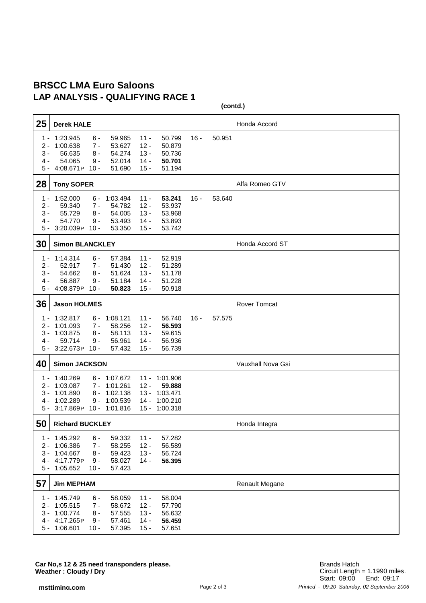#### **BRSCC LMA Euro Saloons LAP ANALYSIS - QUALIFYING RACE 1**

**(contd.)**

| 25                                    | <b>Derek HALE</b>                                                                                       |                                                                     |                                                |                                                        |        |        | Honda Accord          |
|---------------------------------------|---------------------------------------------------------------------------------------------------------|---------------------------------------------------------------------|------------------------------------------------|--------------------------------------------------------|--------|--------|-----------------------|
| $1 -$<br>$2 -$<br>$3 -$<br>4 -<br>5 - | 1:23.945<br>$6 -$<br>1:00.638<br>$7 -$<br>56.635<br>$8 -$<br>54.065<br>9 -<br>4:08.671P<br>$10 -$       | 59.965<br>53.627<br>54.274<br>52.014<br>51.690                      | $11 -$<br>$12 -$<br>$13 -$<br>$14 -$<br>$15 -$ | 50.799<br>50.879<br>50.736<br>50.701<br>51.194         | $16 -$ | 50.951 |                       |
| 28                                    | <b>Tony SOPER</b>                                                                                       |                                                                     |                                                |                                                        |        |        | Alfa Romeo GTV        |
| $1 -$<br>$2 -$<br>$3 -$<br>4 -<br>5 - | 1:52.000<br>6 -<br>59.340<br>$7 -$<br>55.729<br>$8 -$<br>54.770<br>9 -<br>3:20.039P<br>$10 -$           | 1:03.494<br>54.782<br>54.005<br>53.493<br>53.350                    | $11 -$<br>$12 -$<br>$13 -$<br>$14 -$<br>$15 -$ | 53.241<br>53.937<br>53.968<br>53.893<br>53.742         | $16 -$ | 53.640 |                       |
| 30                                    | <b>Simon BLANCKLEY</b>                                                                                  |                                                                     |                                                |                                                        |        |        | Honda Accord ST       |
| $1 -$<br>$2 -$<br>$3 -$<br>4 -<br>5 - | 1:14.314<br>$6 -$<br>52.917<br>$7 -$<br>54.662<br>$8 -$<br>56.887<br>9 -<br>4:08.879P<br>$10 -$         | 57.384<br>51.430<br>51.624<br>51.184<br>50.823                      | $11 -$<br>$12 -$<br>$13 -$<br>$14 -$<br>$15 -$ | 52.919<br>51.289<br>51.178<br>51.228<br>50.918         |        |        |                       |
| 36                                    | <b>Jason HOLMES</b>                                                                                     |                                                                     |                                                |                                                        |        |        | <b>Rover Tomcat</b>   |
| 1 -<br>2 -<br>3 -<br>4 -<br>5 -       | 1:32.817<br>6 -<br>1:01.093<br>$7 -$<br>1:03.875<br>8 -<br>59.714<br>9 -<br>3:22.673P<br>$10 -$         | 1:08.121<br>58.256<br>58.113<br>56.961<br>57.432                    | $11 -$<br>$12 -$<br>$13 -$<br>$14 -$<br>$15 -$ | 56.740<br>56.593<br>59.615<br>56.936<br>56.739         | 16 -   | 57.575 |                       |
| 40                                    | <b>Simon JACKSON</b>                                                                                    |                                                                     |                                                |                                                        |        |        | Vauxhall Nova Gsi     |
| 1 -<br>$2 -$<br>3 -<br>4 -<br>5 -     | 1:40.269<br>1:03.087<br>$7 -$<br>1:01.890<br>8 -<br>1:02.289<br>9 -<br>3:17.869P                        | $6 - 1:07.672$<br>1:01.261<br>1:02.138<br>1:00.539<br>10 - 1:01.816 | $11 -$<br>$12 -$<br>$13 -$<br>14 -<br>$15 -$   | 1:01.906<br>59.888<br>1:03.471<br>1:00.210<br>1:00.318 |        |        |                       |
| 50                                    | <b>Richard BUCKLEY</b>                                                                                  |                                                                     |                                                |                                                        |        |        | Honda Integra         |
| 1 -<br>2 -<br>3 -<br>4 -<br>$5 -$     | 1:45.292<br>$6 -$<br>1:06.386<br>$7 -$<br>1:04.667<br>8 -<br>4:17.779P<br>9 -<br>1:05.652<br>$10 -$     | 59.332<br>58.255<br>59.423<br>58.027<br>57.423                      | $11 -$<br>$12 -$<br>$13 -$<br>$14 -$           | 57.282<br>56.589<br>56.724<br>56.395                   |        |        |                       |
| 57                                    | <b>Jim MEPHAM</b>                                                                                       |                                                                     |                                                |                                                        |        |        | <b>Renault Megane</b> |
| 1 -<br>$2 -$<br>$3 -$<br>4 -<br>5 -   | 1:45.749<br>$6 -$<br>1:05.515<br>$7 -$<br>1:00.774<br>$8 -$<br>4:17.265P<br>$9 -$<br>1:06.601<br>$10 -$ | 58.059<br>58.672<br>57.555<br>57.461<br>57.395                      | $11 -$<br>$12 -$<br>$13 -$<br>$14 -$<br>$15 -$ | 58.004<br>57.790<br>56.632<br>56.459<br>57.651         |        |        |                       |

**Car No,s 12 & 25 need transponders please. Weather : Cloudy / Dry**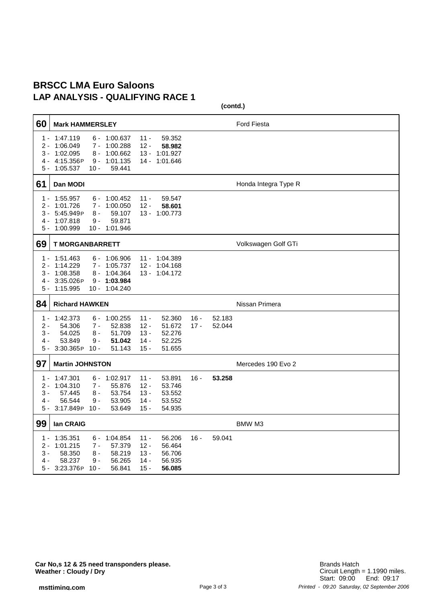#### **BRSCC LMA Euro Saloons LAP ANALYSIS - QUALIFYING RACE 1**

| 60                                | <b>Mark HAMMERSLEY</b>                                                                                                                                   |                                                                                                  |                  | <b>Ford Fiesta</b>   |
|-----------------------------------|----------------------------------------------------------------------------------------------------------------------------------------------------------|--------------------------------------------------------------------------------------------------|------------------|----------------------|
| 1 -<br>2 -<br>3 -<br>4 -<br>5 -   | 1:47.119<br>$6 - 1:00.637$<br>1:06.049<br>1:00.288<br>7 -<br>1:02.095<br>1:00.662<br>8 -<br>4:15.356P<br>1:01.135<br>9 -<br>1:05.537<br>59.441<br>$10 -$ | $11 -$<br>59.352<br>$12 -$<br>58,982<br>$13 -$<br>1:01.927<br>14 - 1:01.646                      |                  |                      |
| 61                                | Dan MODI                                                                                                                                                 |                                                                                                  |                  | Honda Integra Type R |
| $1 -$<br>2 -<br>3 -<br>4 -<br>5 - | 1:55.957<br>$6 - 1:00.452$<br>1:00.050<br>1:01.726<br>7 -<br>5:45.949P<br>8 -<br>59.107<br>1:07.818<br>59.871<br>9 -<br>1:00.999<br>10 - 1:01.946        | $11 -$<br>59.547<br>$12 -$<br>58.601<br>13 - 1:00.773                                            |                  |                      |
| 69                                | <b>T MORGANBARRETT</b>                                                                                                                                   |                                                                                                  |                  | Volkswagen Golf GTi  |
| $1 -$<br>2 -<br>3 -<br>4 -<br>5 - | 1:51.463<br>$6 - 1:06.906$<br>1:14.229<br>7 - 1:05.737<br>1:08.358<br>8 - 1:04.364<br>3:35.026P<br>$9 - 1:03.984$<br>1:15.995<br>10 - 1:04.240           | 11 - 1:04.389<br>1:04.168<br>$12 -$<br>13 - 1:04.172                                             |                  |                      |
| 84                                | <b>Richard HAWKEN</b>                                                                                                                                    |                                                                                                  |                  | Nissan Primera       |
| $1 -$<br>2 -<br>3 -<br>4 -<br>5 - | 1:42.373<br>1:00.255<br>6 -<br>54.306<br>52.838<br>7 -<br>54.025<br>8 -<br>51.709<br>53.849<br>9 -<br>51.042<br>3:30.365P<br>$10 -$<br>51.143            | $11 -$<br>52.360<br>$12 -$<br>51.672<br>$13 -$<br>52.276<br>52.225<br>14 -<br>$15 -$<br>51.655   | $16 -$<br>$17 -$ | 52.183<br>52.044     |
| 97                                | <b>Martin JOHNSTON</b>                                                                                                                                   |                                                                                                  |                  | Mercedes 190 Evo 2   |
| 1 -<br>2 -<br>3 -<br>4 -<br>5 -   | 1:47.301<br>1:02.917<br>6 -<br>1:04.310<br>$7 -$<br>55.876<br>57.445<br>53.754<br>8 -<br>56.544<br>9 -<br>53.905<br>3:17.849P<br>$10 -$<br>53.649        | 53.891<br>$11 -$<br>$12 -$<br>53.746<br>$13 -$<br>53.552<br>$14 -$<br>53.552<br>15 -<br>54.935   | $16 -$           | 53.258               |
| 99                                | lan CRAIG                                                                                                                                                |                                                                                                  |                  | BMW M3               |
| 1 -<br>2 -<br>3 -<br>4 -<br>5 -   | 1:35.351<br>1:04.854<br>6 -<br>1:01.215<br>57.379<br>7 -<br>58.350<br>8 -<br>58.219<br>58.237<br>9 -<br>56.265<br>3:23.376P<br>56.841<br>$10 -$          | $11 -$<br>56.206<br>$12 -$<br>56.464<br>$13 -$<br>56.706<br>$14 -$<br>56.935<br>$15 -$<br>56.085 | $16 -$           | 59.041               |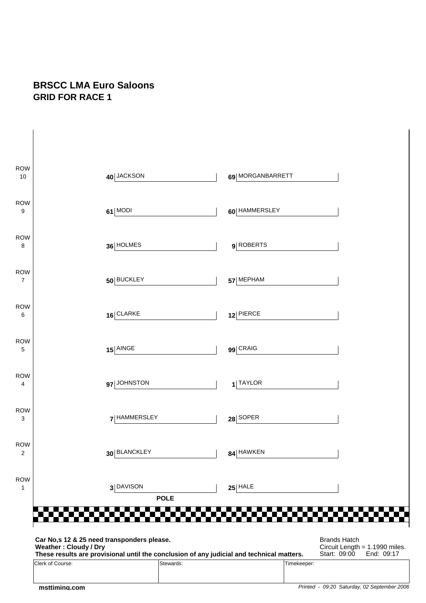#### **BRSCC LMA Euro Saloons GRID FOR RACE 1**

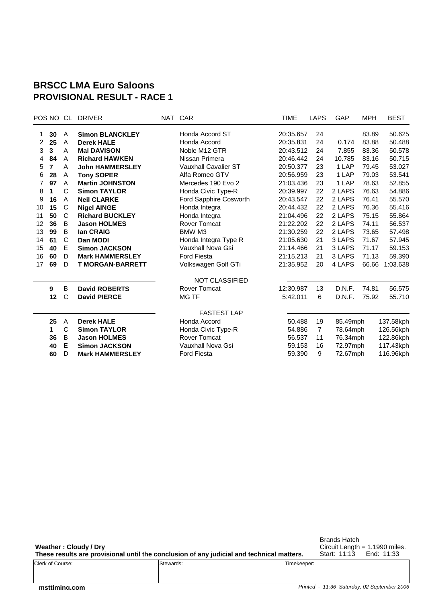#### **BRSCC LMA Euro Saloons PROVISIONAL RESULT - RACE 1**

|    |              | <b>DRIVER</b>           |                        | <b>TIME</b>                   | LAPS           | GAP                                                                                                                                                                                                                                                                                                        | <b>MPH</b> | <b>BEST</b>                                              |
|----|--------------|-------------------------|------------------------|-------------------------------|----------------|------------------------------------------------------------------------------------------------------------------------------------------------------------------------------------------------------------------------------------------------------------------------------------------------------------|------------|----------------------------------------------------------|
| 30 | A            | <b>Simon BLANCKLEY</b>  | Honda Accord ST        |                               | 24             |                                                                                                                                                                                                                                                                                                            | 83.89      | 50.625                                                   |
| 25 | A            | <b>Derek HALE</b>       | Honda Accord           |                               | 24             | 0.174                                                                                                                                                                                                                                                                                                      | 83.88      | 50.488                                                   |
| 3  | A            | <b>Mal DAVISON</b>      | Noble M12 GTR          |                               | 24             | 7.855                                                                                                                                                                                                                                                                                                      | 83.36      | 50.578                                                   |
| 84 | A            | <b>Richard HAWKEN</b>   | Nissan Primera         |                               | 24             | 10.785                                                                                                                                                                                                                                                                                                     | 83.16      | 50.715                                                   |
| 7  | A            | <b>John HAMMERSLEY</b>  | Vauxhall Cavalier ST   |                               | 23             | 1 LAP                                                                                                                                                                                                                                                                                                      | 79.45      | 53.027                                                   |
| 28 | Α            | <b>Tony SOPER</b>       | Alfa Romeo GTV         |                               | 23             | 1 LAP                                                                                                                                                                                                                                                                                                      | 79.03      | 53.541                                                   |
| 97 | A            | <b>Martin JOHNSTON</b>  | Mercedes 190 Evo 2     |                               | 23             | 1 LAP                                                                                                                                                                                                                                                                                                      | 78.63      | 52.855                                                   |
| 1  | C            | <b>Simon TAYLOR</b>     | Honda Civic Type-R     |                               | 22             | 2 LAPS                                                                                                                                                                                                                                                                                                     | 76.63      | 54.886                                                   |
| 16 | A            | <b>Neil CLARKE</b>      | Ford Sapphire Cosworth |                               | 22             | 2 LAPS                                                                                                                                                                                                                                                                                                     | 76.41      | 55.570                                                   |
| 15 | C            | <b>Nigel AINGE</b>      | Honda Integra          |                               | 22             | 2 LAPS                                                                                                                                                                                                                                                                                                     | 76.36      | 55.416                                                   |
| 50 | C            | <b>Richard BUCKLEY</b>  | Honda Integra          |                               | 22             | 2 LAPS                                                                                                                                                                                                                                                                                                     | 75.15      | 55.864                                                   |
| 36 | B            | <b>Jason HOLMES</b>     | <b>Rover Tomcat</b>    |                               | 22             | 2 LAPS                                                                                                                                                                                                                                                                                                     | 74.11      | 56.537                                                   |
| 99 | B            | lan CRAIG               | BMW M3                 |                               | 22             | 2 LAPS                                                                                                                                                                                                                                                                                                     | 73.65      | 57.498                                                   |
| 61 | C            | Dan MODI                | Honda Integra Type R   |                               | 21             | 3 LAPS                                                                                                                                                                                                                                                                                                     | 71.67      | 57.945                                                   |
| 40 | Е            | <b>Simon JACKSON</b>    | Vauxhall Nova Gsi      |                               | 21             | 3 LAPS                                                                                                                                                                                                                                                                                                     | 71.17      | 59.153                                                   |
| 60 | D            | <b>Mark HAMMERSLEY</b>  | <b>Ford Fiesta</b>     |                               | 21             | 3 LAPS                                                                                                                                                                                                                                                                                                     | 71.13      | 59.390                                                   |
| 69 | D            | <b>T MORGAN-BARRETT</b> | Volkswagen Golf GTi    |                               | 20             | 4 LAPS                                                                                                                                                                                                                                                                                                     | 66.66      | 1:03.638                                                 |
|    |              |                         | <b>NOT CLASSIFIED</b>  |                               |                |                                                                                                                                                                                                                                                                                                            |            |                                                          |
| 9  | B            | <b>David ROBERTS</b>    | <b>Rover Tomcat</b>    |                               | 13             | D.N.F.                                                                                                                                                                                                                                                                                                     | 74.81      | 56.575                                                   |
| 12 | C            | <b>David PIERCE</b>     | <b>MG TF</b>           |                               | 6              | D.N.F.                                                                                                                                                                                                                                                                                                     | 75.92      | 55.710                                                   |
|    |              |                         | <b>FASTEST LAP</b>     |                               |                |                                                                                                                                                                                                                                                                                                            |            |                                                          |
|    | $\mathsf{A}$ | <b>Derek HALE</b>       | Honda Accord           |                               |                |                                                                                                                                                                                                                                                                                                            |            | 137.58kph                                                |
| 1  |              | <b>Simon TAYLOR</b>     |                        |                               | $\overline{7}$ |                                                                                                                                                                                                                                                                                                            |            | 126.56kph                                                |
| 36 | B            | <b>Jason HOLMES</b>     | Rover Tomcat           |                               | 11             |                                                                                                                                                                                                                                                                                                            |            | 122.86kph                                                |
| 40 |              | <b>Simon JACKSON</b>    | Vauxhall Nova Gsi      |                               | 16             |                                                                                                                                                                                                                                                                                                            |            | 117.43kph                                                |
| 60 | D            | <b>Mark HAMMERSLEY</b>  | <b>Ford Fiesta</b>     |                               | 9              |                                                                                                                                                                                                                                                                                                            |            | 116.96kph                                                |
|    | 25           | POS NO CL<br>C<br>Е     |                        | NAT CAR<br>Honda Civic Type-R |                | 20:35.657<br>20:35.831<br>20:43.512<br>20:46.442<br>20:50.377<br>20:56.959<br>21:03.436<br>20:39.997<br>20:43.547<br>20:44.432<br>21:04.496<br>21:22.202<br>21:30.259<br>21:05.630<br>21:14.466<br>21:15.213<br>21:35.952<br>12:30.987<br>5:42.011<br>19<br>50.488<br>54.886<br>56.537<br>59.153<br>59.390 |            | 85.49mph<br>78.64mph<br>76.34mph<br>72.97mph<br>72.67mph |

**Weather : Cloudy / Dry**

Brands Hatch Circuit Length = 1.1990 miles. Start: 11:13 End: 11:33

| These results are provisional until the conclusion of any judicial and technical matters. |           |             | Start: 11:13 | End: 11:33 |
|-------------------------------------------------------------------------------------------|-----------|-------------|--------------|------------|
| Clerk of Course:                                                                          | Stewards: | Timekeeper: |              |            |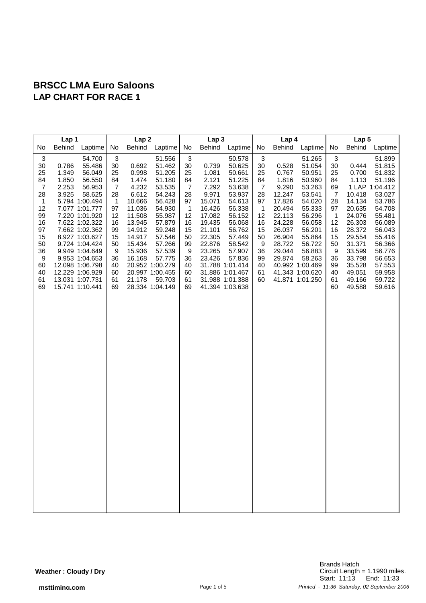| Lap 1                                                                                                                                                                                      |                                                                                                                                                                                                                                                                                                        | Lap <sub>2</sub>                                                                                                                                               |                                                                                                                                               |                                                                                                                                                                                                                       |                                                                                                                                                              | Lap <sub>3</sub>                                                                                                                    |                                                                                                                                                                                                                                |                                                                                                                                       | Lap <sub>4</sub>                                                                                                                     |                                                                                                                                                                                                             |                                                                                                                                             | Lap 5                                                                                                                                                               |                                                                                                                                                                                                    |  |
|--------------------------------------------------------------------------------------------------------------------------------------------------------------------------------------------|--------------------------------------------------------------------------------------------------------------------------------------------------------------------------------------------------------------------------------------------------------------------------------------------------------|----------------------------------------------------------------------------------------------------------------------------------------------------------------|-----------------------------------------------------------------------------------------------------------------------------------------------|-----------------------------------------------------------------------------------------------------------------------------------------------------------------------------------------------------------------------|--------------------------------------------------------------------------------------------------------------------------------------------------------------|-------------------------------------------------------------------------------------------------------------------------------------|--------------------------------------------------------------------------------------------------------------------------------------------------------------------------------------------------------------------------------|---------------------------------------------------------------------------------------------------------------------------------------|--------------------------------------------------------------------------------------------------------------------------------------|-------------------------------------------------------------------------------------------------------------------------------------------------------------------------------------------------------------|---------------------------------------------------------------------------------------------------------------------------------------------|---------------------------------------------------------------------------------------------------------------------------------------------------------------------|----------------------------------------------------------------------------------------------------------------------------------------------------------------------------------------------------|--|
| No<br>Behind                                                                                                                                                                               | Laptime                                                                                                                                                                                                                                                                                                | No                                                                                                                                                             |                                                                                                                                               | Behind Laptime                                                                                                                                                                                                        | No                                                                                                                                                           | Behind                                                                                                                              | Laptime                                                                                                                                                                                                                        | No                                                                                                                                    |                                                                                                                                      | Behind Laptime                                                                                                                                                                                              | No                                                                                                                                          | Behind                                                                                                                                                              | Laptime                                                                                                                                                                                            |  |
| $\mathbf{3}$<br>30<br>0.786<br>25<br>1.349<br>84<br>1.850<br>$\overline{7}$<br>2.253<br>28<br>3.925<br>$\mathbf{1}$<br>12<br>99<br>16<br>97<br>15<br>50<br>36<br>9<br>60<br>40<br>61<br>69 | 54.700<br>55.486<br>56.049<br>56.550<br>56.953<br>58.625<br>5.794 1:00.494<br>7.077 1:01.777<br>7.220 1:01.920<br>7.622 1:02.322<br>7.662 1:02.362<br>8.927 1:03.627<br>9.724 1:04.424<br>9.949 1:04.649<br>9.953 1:04.653<br>12.098 1:06.798<br>12.229 1:06.929<br>13.031 1:07.731<br>15.741 1:10.441 | $\ensuremath{\mathsf{3}}$<br>$30\,$<br>25<br>84<br>$\overline{7}$<br>28<br>$\mathbf{1}$<br>97<br>12<br>16<br>99<br>15<br>50<br>9<br>36<br>40<br>60<br>61<br>69 | 0.692<br>0.998<br>1.474<br>4.232<br>6.612<br>10.666<br>11.036<br>11.508<br>13.945<br>14.912<br>14.917<br>15.434<br>15.936<br>16.168<br>21.178 | 51.556<br>51.462<br>51.205<br>51.180<br>53.535<br>54.243<br>56.428<br>54.930<br>55.987<br>57.879<br>59.248<br>57.546<br>57.266<br>57.539<br>57.775<br>20.952 1:00.279<br>20.997 1:00.455<br>59.703<br>28.334 1:04.149 | $\ensuremath{\mathsf{3}}$<br>30<br>25<br>84<br>$\overline{7}$<br>28<br>97<br>$\overline{1}$<br>12<br>16<br>15<br>50<br>99<br>9<br>36<br>40<br>60<br>61<br>69 | 0.739<br>1.081<br>2.121<br>7.292<br>9.971<br>15.071<br>16.426<br>17.082<br>19.435<br>21.101<br>22.305<br>22.876<br>23.265<br>23.426 | 50.578<br>50.625<br>50.661<br>51.225<br>53.638<br>53.937<br>54.613<br>56.338<br>56.152<br>56.068<br>56.762<br>57.449<br>58.542<br>57.907<br>57.836<br>31.788 1:01.414<br>31.886 1:01.467<br>31.988 1:01.388<br>41.394 1:03.638 | $\sqrt{3}$<br>30<br>25<br>84<br>$\overline{7}$<br>28<br>97<br>$\mathbf{1}$<br>12<br>16<br>15<br>50<br>9<br>36<br>99<br>40<br>61<br>60 | 0.528<br>0.767<br>1.816<br>9.290<br>12.247<br>17.826<br>20.494<br>22.113<br>24.228<br>26.037<br>26.904<br>28.722<br>29.044<br>29.874 | 51.265<br>51.054<br>50.951<br>50.960<br>53.263<br>53.541<br>54.020<br>55.333<br>56.296<br>56.058<br>56.201<br>55.864<br>56.722<br>56.883<br>58.263<br>40.992 1:00.469<br>41.343 1:00.620<br>41.871 1:01.250 | $\sqrt{3}$<br>30<br>25<br>84<br>69<br>$\overline{7}$<br>28<br>97<br>$\mathbf{1}$<br>12<br>16<br>15<br>50<br>9<br>36<br>99<br>40<br>61<br>60 | 0.444<br>0.700<br>1.113<br>10.418<br>14.134<br>20.635<br>24.076<br>26.303<br>28.372<br>29.554<br>31.371<br>33.599<br>33.798<br>35.528<br>49.051<br>49.166<br>49.588 | 51.899<br>51.815<br>51.832<br>51.196<br>1 LAP 1:04.412<br>53.027<br>53.786<br>54.708<br>55.481<br>56.089<br>56.043<br>55.416<br>56.366<br>56.776<br>56.653<br>57.553<br>59.958<br>59.722<br>59.616 |  |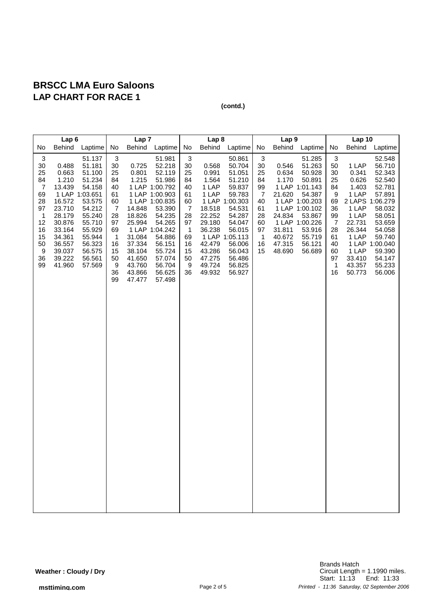|                                                                                                                | Lap <sub>6</sub>                                                                                                                      |                                                                                                                                                                      | Lap <sub>7</sub>                                                                                                                                       |                                                                                                                             |                                                                                                                                                                                                                  |                                                                                                                                   | Lap <sub>8</sub>                                                                                                                    |                                                                                                                                                                                        |                                                                                                         | Lap <sub>9</sub>                                                                    |                                                                                                                                                                          | Lap10                                                                                          |                                                                                                                                 |                                                                                                                                                                                         |
|----------------------------------------------------------------------------------------------------------------|---------------------------------------------------------------------------------------------------------------------------------------|----------------------------------------------------------------------------------------------------------------------------------------------------------------------|--------------------------------------------------------------------------------------------------------------------------------------------------------|-----------------------------------------------------------------------------------------------------------------------------|------------------------------------------------------------------------------------------------------------------------------------------------------------------------------------------------------------------|-----------------------------------------------------------------------------------------------------------------------------------|-------------------------------------------------------------------------------------------------------------------------------------|----------------------------------------------------------------------------------------------------------------------------------------------------------------------------------------|---------------------------------------------------------------------------------------------------------|-------------------------------------------------------------------------------------|--------------------------------------------------------------------------------------------------------------------------------------------------------------------------|------------------------------------------------------------------------------------------------|---------------------------------------------------------------------------------------------------------------------------------|-----------------------------------------------------------------------------------------------------------------------------------------------------------------------------------------|
| No                                                                                                             | <b>Behind</b>                                                                                                                         | Laptime                                                                                                                                                              | No                                                                                                                                                     | Behind                                                                                                                      | Laptime                                                                                                                                                                                                          | No                                                                                                                                | <b>Behind</b>                                                                                                                       | Laptime                                                                                                                                                                                | No                                                                                                      | <b>Behind</b>                                                                       | Laptime                                                                                                                                                                  | No                                                                                             | Behind                                                                                                                          | Laptime                                                                                                                                                                                 |
| $\sqrt{3}$<br>30<br>25<br>84<br>$\overline{7}$<br>69<br>28<br>97<br>1<br>12<br>16<br>15<br>50<br>9<br>36<br>99 | 0.488<br>0.663<br>1.210<br>13.439<br>16.572<br>23.710<br>28.179<br>30.876<br>33.164<br>34.361<br>36.557<br>39.037<br>39.222<br>41.960 | 51.137<br>51.181<br>51.100<br>51.234<br>54.158<br>1 LAP 1:03.651<br>53.575<br>54.212<br>55.240<br>55.710<br>55.929<br>55.944<br>56.323<br>56.575<br>56.561<br>57.569 | $\ensuremath{\mathsf{3}}$<br>30<br>25<br>84<br>40<br>61<br>60<br>$\overline{7}$<br>28<br>97<br>69<br>$\overline{1}$<br>16<br>15<br>50<br>9<br>36<br>99 | 0.725<br>0.801<br>1.215<br>14.848<br>18.826<br>25.994<br>31.084<br>37.334<br>38.104<br>41.650<br>43.760<br>43.866<br>47.477 | 51.981<br>52.218<br>52.119<br>51.986<br>1 LAP 1:00.792<br>1 LAP 1:00.903<br>1 LAP 1:00.835<br>53.390<br>54.235<br>54.265<br>1 LAP 1:04.242<br>54.886<br>56.151<br>55.724<br>57.074<br>56.704<br>56.625<br>57.498 | $\ensuremath{\mathsf{3}}$<br>30<br>25<br>84<br>40<br>61<br>60<br>7<br>28<br>97<br>$\mathbf{1}$<br>69<br>16<br>15<br>50<br>9<br>36 | 0.568<br>0.991<br>1.564<br>1 LAP<br>1 LAP<br>18.518<br>22.252<br>29.180<br>36.238<br>42.479<br>43.286<br>47.275<br>49.724<br>49.932 | 50.861<br>50.704<br>51.051<br>51.210<br>59.837<br>59.783<br>1 LAP 1:00.303<br>54.531<br>54.287<br>54.047<br>56.015<br>1 LAP 1:05.113<br>56.006<br>56.043<br>56.486<br>56.825<br>56.927 | 3<br>30<br>25<br>84<br>99<br>$\overline{7}$<br>40<br>61<br>28<br>60<br>97<br>$\overline{1}$<br>16<br>15 | 0.546<br>0.634<br>1.170<br>21.620<br>24.834<br>31.811<br>40.672<br>47.315<br>48.690 | 51.285<br>51.263<br>50.928<br>50.891<br>1 LAP 1:01.143<br>54.387<br>1 LAP 1:00.203<br>1 LAP 1:00.102<br>53.867<br>1 LAP 1:00.226<br>53.916<br>55.719<br>56.121<br>56.689 | 3<br>50<br>30<br>25<br>84<br>9<br>69<br>36<br>99<br>7<br>28<br>61<br>40<br>60<br>97<br>1<br>16 | 1 LAP<br>0.341<br>0.626<br>1.403<br>1 LAP<br>1 LAP<br>1 LAP<br>22.731<br>26.344<br>1 LAP<br>1 LAP<br>33.410<br>43.357<br>50.773 | 52.548<br>56.710<br>52.343<br>52.540<br>52.781<br>57.891<br>2 LAPS 1:06.279<br>58.032<br>58.051<br>53.659<br>54.058<br>59.740<br>1 LAP 1:00.040<br>59.390<br>54.147<br>55.233<br>56.006 |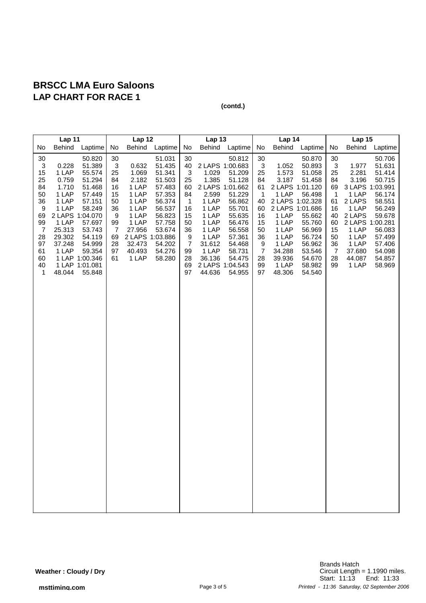|                                                                                                             | Lap 11                                                                                                                |                                                                                                                                                                                                 | Lap 12                                                                                                      |                                                                                                                      |                                                                                                                                                             |                                                                                                                   | Lap 13                                                                                                               |                                                                                                                                                                                                   |                                                                                                                                       | Lap 14                                                                                                               |                                                                                                                                                                                                   |                                                                                                                                | Lap <sub>15</sub>                                                                                                     |                                                                                                                                                                                |  |
|-------------------------------------------------------------------------------------------------------------|-----------------------------------------------------------------------------------------------------------------------|-------------------------------------------------------------------------------------------------------------------------------------------------------------------------------------------------|-------------------------------------------------------------------------------------------------------------|----------------------------------------------------------------------------------------------------------------------|-------------------------------------------------------------------------------------------------------------------------------------------------------------|-------------------------------------------------------------------------------------------------------------------|----------------------------------------------------------------------------------------------------------------------|---------------------------------------------------------------------------------------------------------------------------------------------------------------------------------------------------|---------------------------------------------------------------------------------------------------------------------------------------|----------------------------------------------------------------------------------------------------------------------|---------------------------------------------------------------------------------------------------------------------------------------------------------------------------------------------------|--------------------------------------------------------------------------------------------------------------------------------|-----------------------------------------------------------------------------------------------------------------------|--------------------------------------------------------------------------------------------------------------------------------------------------------------------------------|--|
| No                                                                                                          | Behind                                                                                                                | Laptime                                                                                                                                                                                         | No                                                                                                          |                                                                                                                      | Behind Laptime                                                                                                                                              | No                                                                                                                | Behind                                                                                                               | Laptime                                                                                                                                                                                           | No                                                                                                                                    | <b>Behind</b>                                                                                                        | Laptime                                                                                                                                                                                           | No                                                                                                                             | Behind                                                                                                                | Laptime                                                                                                                                                                        |  |
| 30<br>3<br>15<br>25<br>84<br>50<br>36<br>9<br>69<br>99<br>$\overline{7}$<br>28<br>97<br>61<br>60<br>40<br>1 | 0.228<br>1 LAP<br>0.759<br>1.710<br>1 LAP<br>1 LAP<br>1 LAP<br>1 LAP<br>25.313<br>29.302<br>37.248<br>1 LAP<br>48.044 | 50.820<br>51.389<br>55.574<br>51.294<br>51.468<br>57.449<br>57.151<br>58.249<br>2 LAPS 1:04.070<br>57.697<br>53.743<br>54.119<br>54.999<br>59.354<br>1 LAP 1:00.346<br>1 LAP 1:01.081<br>55.848 | 30<br>$\mathbf{3}$<br>25<br>84<br>16<br>15<br>50<br>36<br>9<br>99<br>$\overline{7}$<br>69<br>28<br>97<br>61 | 0.632<br>1.069<br>2.182<br>1 LAP<br>1 LAP<br>1 LAP<br>1 LAP<br>1 LAP<br>1 LAP<br>27.956<br>32.473<br>40.493<br>1 LAP | 51.031<br>51.435<br>51.341<br>51.503<br>57.483<br>57.353<br>56.374<br>56.537<br>56.823<br>57.758<br>53.674<br>2 LAPS 1:03.886<br>54.202<br>54.276<br>58.280 | 30<br>40<br>$\sqrt{3}$<br>25<br>60<br>84<br>$\mathbf 1$<br>16<br>15<br>50<br>36<br>9<br>7<br>99<br>28<br>69<br>97 | 1.029<br>1.385<br>2.599<br>1 LAP<br>1 LAP<br>1 LAP<br>1 LAP<br>1 LAP<br>1 LAP<br>31.612<br>1 LAP<br>36.136<br>44.636 | 50.812<br>2 LAPS 1:00.683<br>51.209<br>51.128<br>2 LAPS 1:01.662<br>51.229<br>56.862<br>55.701<br>55.635<br>56.476<br>56.558<br>57.361<br>54.468<br>58.731<br>54.475<br>2 LAPS 1:04.543<br>54.955 | 30<br>$\mathbf{3}$<br>25<br>84<br>61<br>$\overline{1}$<br>40<br>60<br>16<br>15<br>50<br>36<br>9<br>$\boldsymbol{7}$<br>28<br>99<br>97 | 1.052<br>1.573<br>3.187<br>1 LAP<br>1 LAP<br>1 LAP<br>1 LAP<br>1 LAP<br>1 LAP<br>34.288<br>39.936<br>1 LAP<br>48.306 | 50.870<br>50.893<br>51.058<br>51.458<br>2 LAPS 1:01.120<br>56.498<br>2 LAPS 1:02.328<br>2 LAPS 1:01.686<br>55.662<br>55.760<br>56.969<br>56.724<br>56.962<br>53.546<br>54.670<br>58.982<br>54.540 | 30<br>$\mathbf{3}$<br>25<br>84<br>69<br>$\overline{1}$<br>61<br>16<br>40<br>60<br>15<br>50<br>36<br>$\overline{7}$<br>28<br>99 | 1.977<br>2.281<br>3.196<br>1 LAP<br>2 LAPS<br>1 LAP<br>2 LAPS<br>1 LAP<br>1 LAP<br>1 LAP<br>37.680<br>44.087<br>1 LAP | 50.706<br>51.631<br>51.414<br>50.715<br>3 LAPS 1:03.991<br>56.174<br>58.551<br>56.249<br>59.678<br>2 LAPS 1:00.281<br>56.083<br>57.499<br>57.406<br>54.098<br>54.857<br>58.969 |  |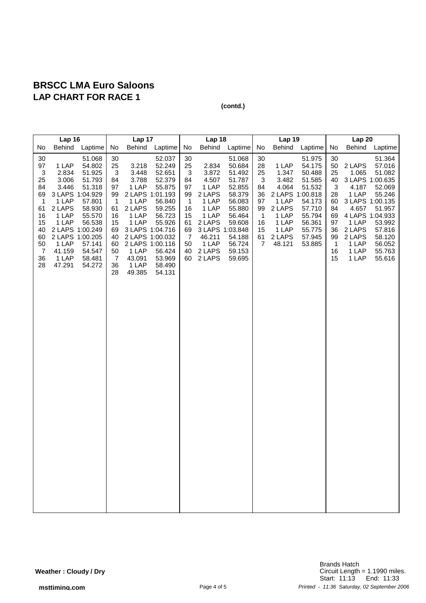|                                                                                               | Lap 16                                                                                                                                                               |                                                                                                                                |                                                                                                                                 | Lap 17                                                                                                                                                                                  |                                                                                                                                | Lap 18                                                                                                        |                                                                                                                                           |                                                                                                                                          | Lap 19                                                                               |                                                                                                                       |                                                                                                                      | Lap20                                                                                         |                                                                                                    |                                                                                                                                                                               |
|-----------------------------------------------------------------------------------------------|----------------------------------------------------------------------------------------------------------------------------------------------------------------------|--------------------------------------------------------------------------------------------------------------------------------|---------------------------------------------------------------------------------------------------------------------------------|-----------------------------------------------------------------------------------------------------------------------------------------------------------------------------------------|--------------------------------------------------------------------------------------------------------------------------------|---------------------------------------------------------------------------------------------------------------|-------------------------------------------------------------------------------------------------------------------------------------------|------------------------------------------------------------------------------------------------------------------------------------------|--------------------------------------------------------------------------------------|-----------------------------------------------------------------------------------------------------------------------|----------------------------------------------------------------------------------------------------------------------|-----------------------------------------------------------------------------------------------|----------------------------------------------------------------------------------------------------|-------------------------------------------------------------------------------------------------------------------------------------------------------------------------------|
| No                                                                                            | <b>Behind</b>                                                                                                                                                        | Laptime                                                                                                                        | No                                                                                                                              | <b>Behind</b>                                                                                                                                                                           | Laptime                                                                                                                        | No                                                                                                            | <b>Behind</b>                                                                                                                             | Laptime                                                                                                                                  | No                                                                                   | Behind                                                                                                                | Laptime                                                                                                              | No                                                                                            | Behind                                                                                             | Laptime                                                                                                                                                                       |
| $30\,$<br>97<br>3<br>25<br>84<br>69<br>1<br>61<br>16<br>15<br>40<br>60<br>50<br>7<br>36<br>28 | 1 LAP<br>2.834<br>3.006<br>3.446<br>3 LAPS 1:04.929<br>1 LAP<br>2 LAPS<br>1 LAP<br>1 LAP<br>2 LAPS 1:00.249<br>2 LAPS 1:00.205<br>1 LAP<br>41.159<br>1 LAP<br>47.291 | 51.068<br>54.802<br>51.925<br>51.793<br>51.318<br>57.801<br>58.930<br>55.570<br>56.538<br>57.141<br>54.547<br>58.481<br>54.272 | 30<br>25<br>$\sqrt{3}$<br>84<br>97<br>99<br>$\mathbf 1$<br>61<br>16<br>15<br>69<br>40<br>60<br>50<br>$\overline{7}$<br>36<br>28 | 3.218<br>3.448<br>3.788<br>1 LAP<br>2 LAPS 1:01.193<br>1 LAP<br>2 LAPS<br>1 LAP<br>1 LAP<br>3 LAPS 1:04.716<br>2 LAPS 1:00.032<br>2 LAPS 1:00.116<br>1 LAP<br>43.091<br>1 LAP<br>49.385 | 52.037<br>52.249<br>52.651<br>52.379<br>55.875<br>56.840<br>59.255<br>56.723<br>55.926<br>56.424<br>53.969<br>58.490<br>54.131 | 30<br>25<br>3<br>84<br>97<br>99<br>$\overline{1}$<br>16<br>15<br>61<br>69<br>$\overline{7}$<br>50<br>40<br>60 | 2.834<br>3.872<br>4.507<br>1 LAP<br>2 LAPS<br>1 LAP<br>1 LAP<br>1 LAP<br>2 LAPS<br>3 LAPS 1:03.848<br>46.211<br>1 LAP<br>2 LAPS<br>2 LAPS | 51.068<br>50.684<br>51.492<br>51.787<br>52.855<br>58.379<br>56.083<br>55.880<br>56.464<br>59.608<br>54.188<br>56.724<br>59.153<br>59.695 | 30<br>28<br>25<br>3<br>84<br>36<br>97<br>99<br>$\overline{1}$<br>16<br>15<br>61<br>7 | 1 LAP<br>1.347<br>3.482<br>4.064<br>2 LAPS 1:00.818<br>1 LAP<br>2 LAPS<br>1 LAP<br>1 LAP<br>1 LAP<br>2 LAPS<br>48.121 | 51.975<br>54.175<br>50.488<br>51.585<br>51.532<br>54.173<br>57.710<br>55.794<br>56.361<br>55.775<br>57.945<br>53.885 | 30<br>50<br>25<br>40<br>$\sqrt{3}$<br>28<br>60<br>84<br>69<br>97<br>36<br>99<br>1<br>16<br>15 | 2 LAPS<br>1.065<br>4.187<br>1 LAP<br>4.657<br>1 LAP<br>2 LAPS<br>2 LAPS<br>1 LAP<br>1 LAP<br>1 LAP | 51.364<br>57.016<br>51.082<br>3 LAPS 1:00.635<br>52.069<br>55.246<br>3 LAPS 1:00.135<br>51.957<br>4 LAPS 1:04.933<br>53.992<br>57.816<br>58.120<br>56.052<br>55.763<br>55.616 |